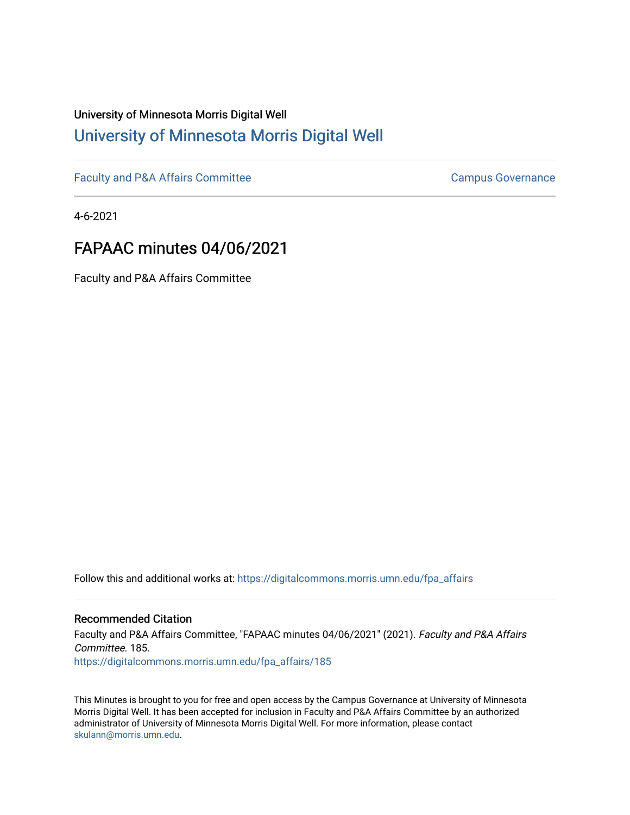# University of Minnesota Morris Digital Well [University of Minnesota Morris Digital Well](https://digitalcommons.morris.umn.edu/)

[Faculty and P&A Affairs Committee](https://digitalcommons.morris.umn.edu/fpa_affairs) [Campus Governance](https://digitalcommons.morris.umn.edu/campgov) Campus Governance

4-6-2021

# FAPAAC minutes 04/06/2021

Faculty and P&A Affairs Committee

Follow this and additional works at: [https://digitalcommons.morris.umn.edu/fpa\\_affairs](https://digitalcommons.morris.umn.edu/fpa_affairs?utm_source=digitalcommons.morris.umn.edu%2Ffpa_affairs%2F185&utm_medium=PDF&utm_campaign=PDFCoverPages)

#### Recommended Citation

Faculty and P&A Affairs Committee, "FAPAAC minutes 04/06/2021" (2021). Faculty and P&A Affairs Committee. 185. [https://digitalcommons.morris.umn.edu/fpa\\_affairs/185](https://digitalcommons.morris.umn.edu/fpa_affairs/185?utm_source=digitalcommons.morris.umn.edu%2Ffpa_affairs%2F185&utm_medium=PDF&utm_campaign=PDFCoverPages)

This Minutes is brought to you for free and open access by the Campus Governance at University of Minnesota Morris Digital Well. It has been accepted for inclusion in Faculty and P&A Affairs Committee by an authorized administrator of University of Minnesota Morris Digital Well. For more information, please contact [skulann@morris.umn.edu.](mailto:skulann@morris.umn.edu)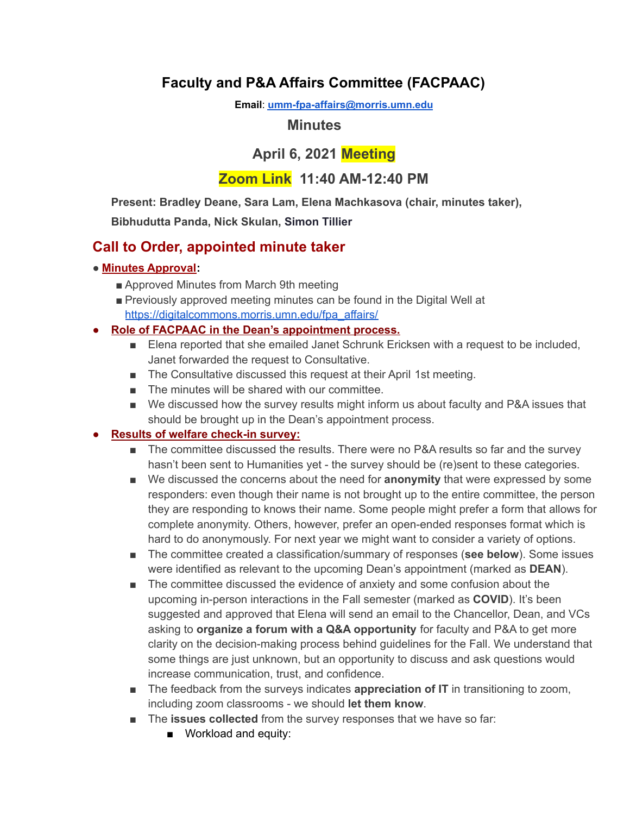# **Faculty and P&A Affairs Committee (FACPAAC)**

**Email**: **[umm-fpa-affairs@morris.umn.edu](mailto:umm-fpa-affairs@morris.umn.edu)**

## **Minutes**

# **April 6, 2021 Meeting**

## **Zoom Link 11:40 AM-12:40 PM**

**Present: Bradley Deane, Sara Lam, Elena Machkasova (chair, minutes taker),**

**Bibhudutta Panda, Nick Skulan, Simon Tillier**

## **Call to Order, appointed minute taker**

### ● **Minutes Approval:**

- Approved Minutes from March 9th meeting
- Previously approved meeting minutes can be found in the Digital Well at [https://digitalcommons.morris.umn.edu/fpa\\_affairs/](https://digitalcommons.morris.umn.edu/fpa_affairs/)

## **● Role of FACPAAC in the Dean's appointment process.**

- Elena reported that she emailed Janet Schrunk Ericksen with a request to be included, Janet forwarded the request to Consultative.
- The Consultative discussed this request at their April 1st meeting.
- The minutes will be shared with our committee.
- We discussed how the survey results might inform us about faculty and P&A issues that should be brought up in the Dean's appointment process.

## **● Results of welfare check-in survey:**

- The committee discussed the results. There were no P&A results so far and the survey hasn't been sent to Humanities yet - the survey should be (re)sent to these categories.
- We discussed the concerns about the need for **anonymity** that were expressed by some responders: even though their name is not brought up to the entire committee, the person they are responding to knows their name. Some people might prefer a form that allows for complete anonymity. Others, however, prefer an open-ended responses format which is hard to do anonymously. For next year we might want to consider a variety of options.
- The committee created a classification/summary of responses (see below). Some issues were identified as relevant to the upcoming Dean's appointment (marked as **DEAN**).
- The committee discussed the evidence of anxiety and some confusion about the upcoming in-person interactions in the Fall semester (marked as **COVID**). It's been suggested and approved that Elena will send an email to the Chancellor, Dean, and VCs asking to **organize a forum with a Q&A opportunity** for faculty and P&A to get more clarity on the decision-making process behind guidelines for the Fall. We understand that some things are just unknown, but an opportunity to discuss and ask questions would increase communication, trust, and confidence.
- The feedback from the surveys indicates **appreciation of IT** in transitioning to zoom, including zoom classrooms - we should **let them know**.
- The **issues collected** from the survey responses that we have so far:
	- Workload and equity: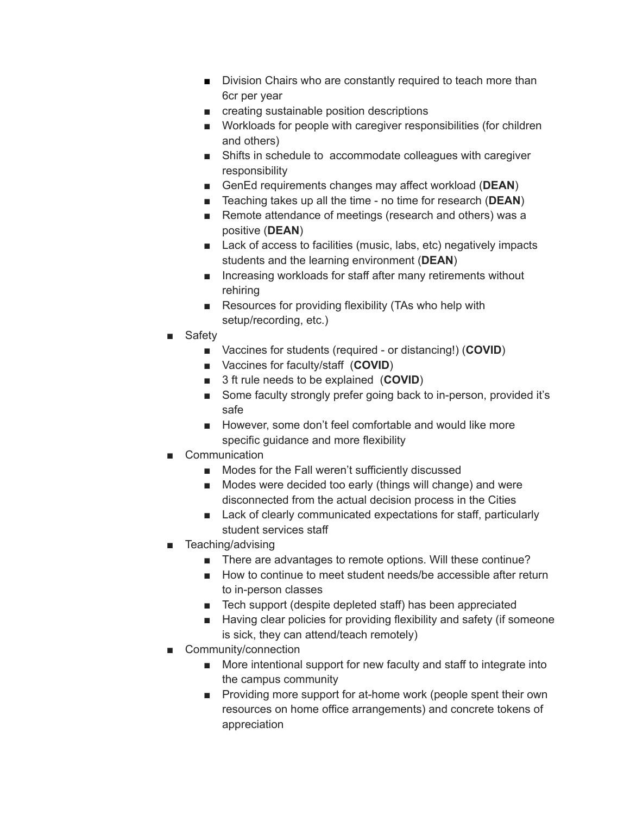- Division Chairs who are constantly required to teach more than 6cr per year
- creating sustainable position descriptions
- Workloads for people with caregiver responsibilities (for children and others)
- Shifts in schedule to accommodate colleagues with caregiver responsibility
- GenEd requirements changes may affect workload (DEAN)
- Teaching takes up all the time no time for research (**DEAN**)
- Remote attendance of meetings (research and others) was a positive (**DEAN**)
- Lack of access to facilities (music, labs, etc) negatively impacts students and the learning environment (**DEAN**)
- Increasing workloads for staff after many retirements without rehiring
- Resources for providing flexibility (TAs who help with setup/recording, etc.)
- Safety
	- Vaccines for students (required or distancing!) (**COVID**)
	- Vaccines for faculty/staff (**COVID**)
	- 3 ft rule needs to be explained (**COVID**)
	- Some faculty strongly prefer going back to in-person, provided it's safe
	- However, some don't feel comfortable and would like more specific guidance and more flexibility
- Communication
	- Modes for the Fall weren't sufficiently discussed
	- Modes were decided too early (things will change) and were disconnected from the actual decision process in the Cities
	- Lack of clearly communicated expectations for staff, particularly student services staff
- Teaching/advising
	- There are advantages to remote options. Will these continue?
	- How to continue to meet student needs/be accessible after return to in-person classes
	- Tech support (despite depleted staff) has been appreciated
	- Having clear policies for providing flexibility and safety (if someone is sick, they can attend/teach remotely)
- Community/connection
	- More intentional support for new faculty and staff to integrate into the campus community
	- Providing more support for at-home work (people spent their own resources on home office arrangements) and concrete tokens of appreciation